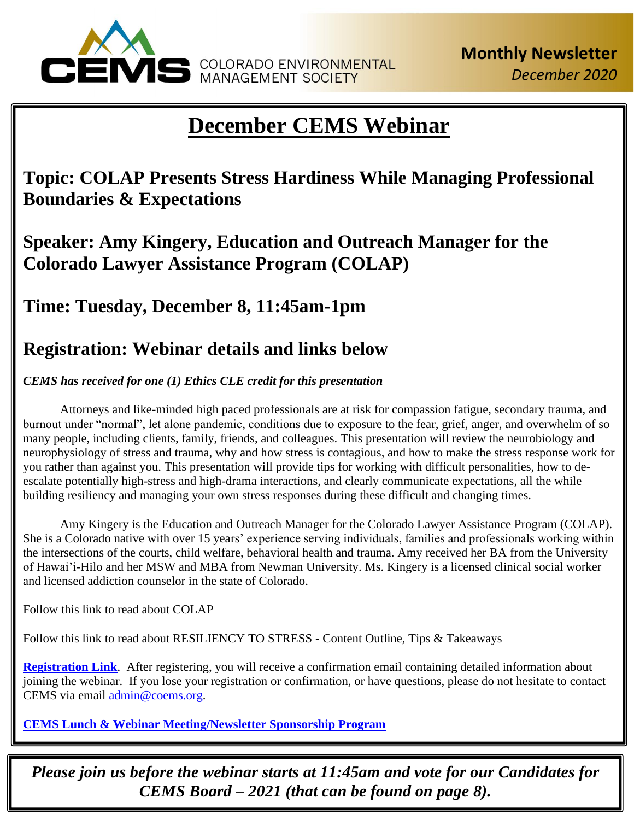

# **December CEMS Webinar**

**Topic: COLAP Presents Stress Hardiness While Managing Professional Boundaries & Expectations**

**Speaker: Amy Kingery, Education and Outreach Manager for the Colorado Lawyer Assistance Program (COLAP)**

**Time: Tuesday, December 8, 11:45am-1pm**

# **Registration: Webinar details and links below**

*CEMS has received for one (1) Ethics CLE credit for this presentation* 

Attorneys and like-minded high paced professionals are at risk for compassion fatigue, secondary trauma, and burnout under "normal", let alone pandemic, conditions due to exposure to the fear, grief, anger, and overwhelm of so many people, including clients, family, friends, and colleagues. This presentation will review the neurobiology and neurophysiology of stress and trauma, why and how stress is contagious, and how to make the stress response work for you rather than against you. This presentation will provide tips for working with difficult personalities, how to deescalate potentially high-stress and high-drama interactions, and clearly communicate expectations, all the while building resiliency and managing your own stress responses during these difficult and changing times.

Amy Kingery is the Education and Outreach Manager for the Colorado Lawyer Assistance Program (COLAP). She is a Colorado native with over 15 years' experience serving individuals, families and professionals working within the intersections of the courts, child welfare, behavioral health and trauma. Amy received her BA from the University of Hawai'i-Hilo and her MSW and MBA from Newman University. Ms. Kingery is a licensed clinical social worker and licensed addiction counselor in the state of Colorado.

Follow this link to read about COLAP

Follow this link to read about RESILIENCY TO STRESS - Content Outline, Tips & Takeaways

**[Registration Link](https://register.gotowebinar.com/register/5697343110433922571)**. After registering, you will receive a confirmation email containing detailed information about joining the webinar. If you lose your registration or confirmation, or have questions, please do not hesitate to contact CEMS via email [admin@coems.org.](mailto:admin@coems.org)

**[CEMS Lunch & Webinar Meeting/Newsletter Sponsorship Program](https://coems.org/cems-lunch-webinar-meeting-newsletter-sponsorship-program/)**

*Please join us before the webinar starts at 11:45am and vote for our Candidates for CEMS Board – 2021 (that can be found on page 8).*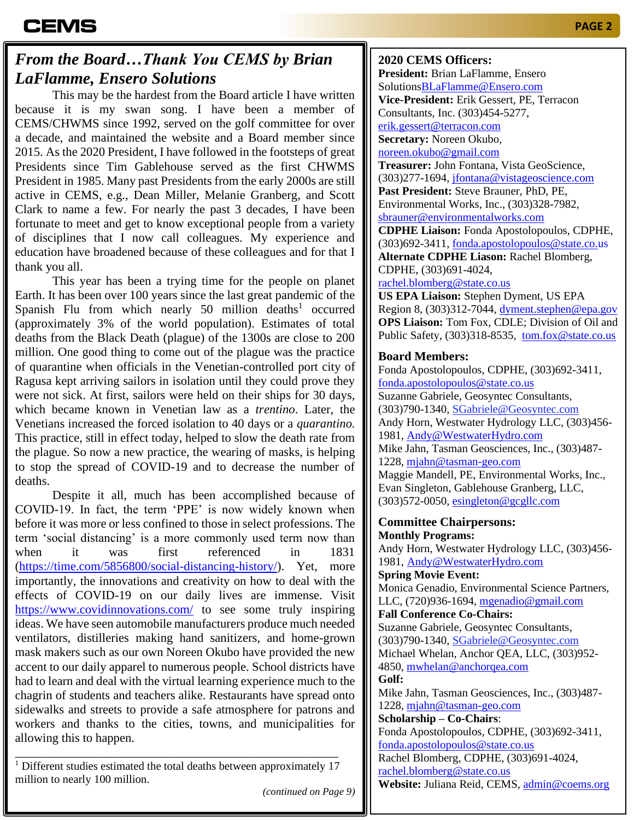### *From the Board…Thank You CEMS by Brian LaFlamme, Ensero Solutions*

This may be the hardest from the Board article I have written because it is my swan song. I have been a member of CEMS/CHWMS since 1992, served on the golf committee for over a decade, and maintained the website and a Board member since 2015. As the 2020 President, I have followed in the footsteps of great Presidents since Tim Gablehouse served as the first CHWMS President in 1985. Many past Presidents from the early 2000s are still active in CEMS, e.g., Dean Miller, Melanie Granberg, and Scott Clark to name a few. For nearly the past 3 decades, I have been fortunate to meet and get to know exceptional people from a variety of disciplines that I now call colleagues. My experience and education have broadened because of these colleagues and for that I thank you all.

This year has been a trying time for the people on planet Earth. It has been over 100 years since the last great pandemic of the Spanish Flu from which nearly 50 million deaths<sup>1</sup> occurred (approximately 3% of the world population). Estimates of total deaths from the Black Death (plague) of the 1300s are close to 200 million. One good thing to come out of the plague was the practice of quarantine when officials in the Venetian-controlled port city of Ragusa kept arriving sailors in isolation until they could prove they were not sick. At first, sailors were held on their ships for 30 days, which became known in Venetian law as a *trentino*. Later, the Venetians increased the forced isolation to 40 days or a *quarantino.* This practice, still in effect today, helped to slow the death rate from the plague. So now a new practice, the wearing of masks, is helping to stop the spread of COVID-19 and to decrease the number of deaths.

Despite it all, much has been accomplished because of COVID-19. In fact, the term 'PPE' is now widely known when before it was more or less confined to those in select professions. The term 'social distancing' is a more commonly used term now than when it was first referenced in 1831 [\(https://time.com/5856800/social-distancing-history/\)](https://time.com/5856800/social-distancing-history/). Yet, more importantly, the innovations and creativity on how to deal with the effects of COVID-19 on our daily lives are immense. Visit <https://www.covidinnovations.com/> to see some truly inspiring ideas. We have seen automobile manufacturers produce much needed ventilators, distilleries making hand sanitizers, and home-grown mask makers such as our own Noreen Okubo have provided the new accent to our daily apparel to numerous people. School districts have had to learn and deal with the virtual learning experience much to the chagrin of students and teachers alike. Restaurants have spread onto sidewalks and streets to provide a safe atmosphere for patrons and workers and thanks to the cities, towns, and municipalities for allowing this to happen.

\_\_\_\_\_\_\_\_\_\_\_\_\_\_\_\_\_\_\_\_\_\_\_\_\_\_\_\_\_\_\_\_\_\_\_\_\_\_\_\_\_\_\_\_\_\_\_\_\_\_\_\_  $1$  Different studies estimated the total deaths between approximately 17 million to nearly 100 million.

**2020 CEMS Officers:**

**President:** Brian LaFlamme, Ensero Solution[sBLaFlamme@Ensero.com](mailto:BLaFlamme@Ensero.com) **Vice-President:** Erik Gessert, PE, Terracon Consultants, Inc. (303)454-5277, [erik.gessert@terracon.com](mailto:erik.gessert@terracon.com) **Secretary:** Noreen Okubo, [noreen.okubo@gmail.com](mailto:noreen.okubo@gmail.com) **Treasurer:** John Fontana, Vista GeoScience, (303)277-1694, [jfontana@vistageoscience.com](mailto:jfontana@vistageoscience.com) **Past President:** Steve Brauner, PhD, PE, Environmental Works, Inc., (303)328-7982, [sbrauner@environmentalworks.com](mailto:sbrauner@environmentalworks.com) **CDPHE Liaison:** Fonda Apostolopoulos, CDPHE, (303)692-3411, [fonda.apostolopoulos@state.co.us](mailto:fonda.apostolopoulos@state.co.us) **Alternate CDPHE Liason:** Rachel Blomberg, CDPHE, (303)691-4024, [rachel.blomberg@state.co.us](mailto:rachel.blomberg@state.co.us) **US EPA Liaison:** Stephen Dyment, US EPA Region 8, (303)312-7044, [dyment.stephen@epa.gov](mailto:dyment.stephen@epa.gov)

**Board Members:**

Fonda Apostolopoulos, CDPHE, (303)692-3411, [fonda.apostolopoulos@state.co.us](mailto:fonda.apostolopoulos@state.co.us) Suzanne Gabriele, Geosyntec Consultants, (303)790-1340, [SGabriele@Geosyntec.com](mailto:SGabriele@Geosyntec.com) Andy Horn, Westwater Hydrology LLC, (303)456- 1981, Andy@WestwaterHydro.com Mike Jahn, Tasman Geosciences, Inc., (303)487- 1228, [mjahn@tasman-geo.com](mailto:mjahn@tasman-geo.com) Maggie Mandell, PE, Environmental Works, Inc., Evan Singleton, Gablehouse Granberg, LLC, (303)572-0050, [esingleton@gcgllc.com](mailto:esingleton@gcgllc.com)

**OPS Liaison:** Tom Fox, CDLE; Division of Oil and Public Safety, (303)318-8535, [tom.fox@state.co.us](mailto:tom.fox@state.co.us)

#### **Committee Chairpersons: Monthly Programs:** Andy Horn, Westwater Hydrology LLC, (303)456- 1981, [Andy@WestwaterHydro.com](mailto:Andy@WestwaterHydro.com)

**Spring Movie Event:** Monica Genadio, Environmental Science Partners, LLC, (720)936-1694, [mgenadio@gmail.com](mailto:mgenadio@gmail.com)

**Fall Conference Co-Chairs:** Suzanne Gabriele, Geosyntec Consultants, (303)790-1340, [SGabriele@Geosyntec.com](mailto:SGabriele@Geosyntec.com) Michael Whelan, Anchor QEA, LLC, (303)952- 4850, [mwhelan@anchorqea.com](mailto:mwhelan@anchorqea.com) **Golf:**  Mike Jahn, Tasman Geosciences, Inc., (303)487- 1228, [mjahn@tasman-geo.com](mailto:mjahn@tasman-geo.com) **Scholarship – Co-Chairs**: Fonda Apostolopoulos, CDPHE, (303)692-3411, [fonda.apostolopoulos@state.co.us](mailto:fonda.apostolopoulos@state.co.us) Rachel Blomberg, CDPHE, (303)691-4024, [rachel.blomberg@state.co.us](mailto:rachel.blomberg@state.co.us)

**Website:** Juliana Reid, CEMS, [admin@coems.org](mailto:admin@coems.org)

*(continued on Page 9)*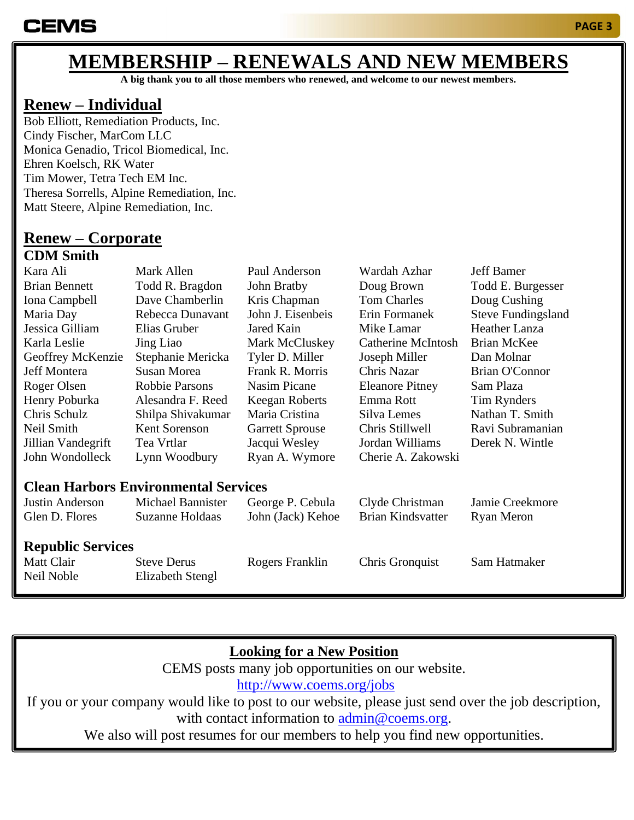# **MEMBERSHIP – RENEWALS AND NEW MEMBERS**

**A big thank you to all those members who renewed, and welcome to our newest members.**

### **Renew – Individual**

Bob Elliott, Remediation Products, Inc. Cindy Fischer, MarCom LLC Monica Genadio, Tricol Biomedical, Inc. Ehren Koelsch, RK Water Tim Mower, Tetra Tech EM Inc. Theresa Sorrells, Alpine Remediation, Inc. Matt Steere, Alpine Remediation, Inc.

# **Renew – Corporate**

#### **CDM Smith**

| Kara Ali                                    | Mark Allen            | Paul Anderson          | Wardah Azhar             | <b>Jeff Bamer</b>         |  |
|---------------------------------------------|-----------------------|------------------------|--------------------------|---------------------------|--|
| <b>Brian Bennett</b>                        | Todd R. Bragdon       | John Bratby            | Doug Brown               | Todd E. Burgesser         |  |
| Iona Campbell                               | Dave Chamberlin       | Kris Chapman           | <b>Tom Charles</b>       | Doug Cushing              |  |
| Maria Day                                   | Rebecca Dunavant      | John J. Eisenbeis      | Erin Formanek            | <b>Steve Fundingsland</b> |  |
| Jessica Gilliam                             | Elias Gruber          | Jared Kain             | Mike Lamar               | <b>Heather Lanza</b>      |  |
| Karla Leslie                                | Jing Liao             | Mark McCluskey         | Catherine McIntosh       | <b>Brian McKee</b>        |  |
| Geoffrey McKenzie                           | Stephanie Mericka     | Tyler D. Miller        | Joseph Miller            | Dan Molnar                |  |
| Jeff Montera                                | <b>Susan Morea</b>    | Frank R. Morris        | Chris Nazar              | <b>Brian O'Connor</b>     |  |
| Roger Olsen                                 | <b>Robbie Parsons</b> | <b>Nasim Picane</b>    | <b>Eleanore Pitney</b>   | Sam Plaza                 |  |
| Henry Poburka                               | Alesandra F. Reed     | <b>Keegan Roberts</b>  | Emma Rott                | Tim Rynders               |  |
| Chris Schulz                                | Shilpa Shivakumar     | Maria Cristina         | Silva Lemes              | Nathan T. Smith           |  |
| Neil Smith                                  | Kent Sorenson         | <b>Garrett Sprouse</b> | Chris Stillwell          | Ravi Subramanian          |  |
| Jillian Vandegrift                          | Tea Vrtlar            | Jacqui Wesley          | Jordan Williams          | Derek N. Wintle           |  |
| John Wondolleck                             | Lynn Woodbury         | Ryan A. Wymore         | Cherie A. Zakowski       |                           |  |
| <b>Clean Harbors Environmental Services</b> |                       |                        |                          |                           |  |
| Justin Anderson                             | Michael Bannister     | George P. Cebula       | Clyde Christman          | Jamie Creekmore           |  |
| Glen D. Flores                              | Suzanne Holdaas       | John (Jack) Kehoe      | <b>Brian Kindsvatter</b> | Ryan Meron                |  |
| <b>Republic Services</b>                    |                       |                        |                          |                           |  |
| Matt Clair                                  | <b>Steve Derus</b>    | Rogers Franklin        | Chris Gronquist          | Sam Hatmaker              |  |
| Neil Noble                                  | Elizabeth Stengl      |                        |                          |                           |  |

### **Looking for a New Position**

CEMS posts many job opportunities on our website. <http://www.coems.org/jobs>

If you or your company would like to post to our website, please just send over the job description, with contact information to [admin@coems.org.](mailto:admin@coems.org)

We also will post resumes for our members to help you find new opportunities.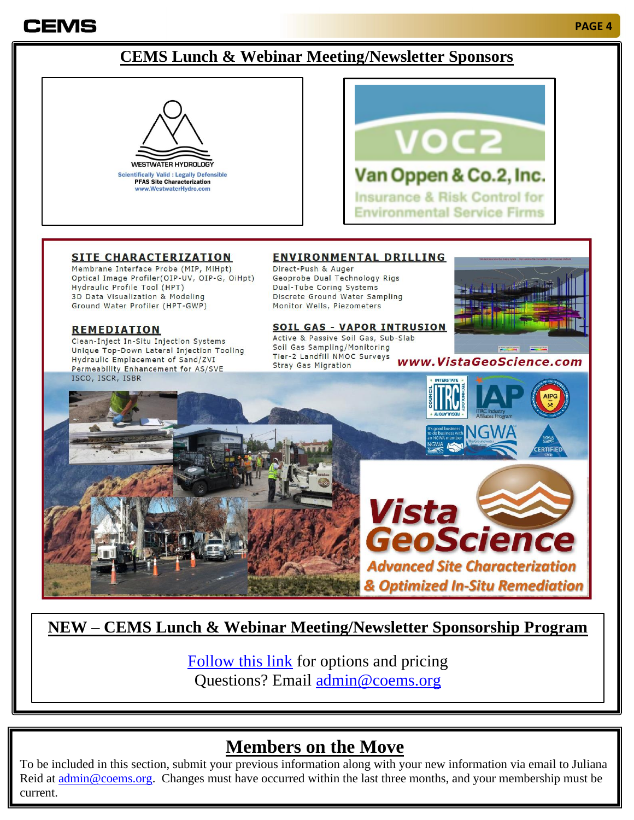# **CEMS**

#### **PAGE 4**

### **CEMS Lunch & Webinar Meeting/Newsletter Sponsors**





#### **SITE CHARACTERIZATION**

Membrane Interface Probe (MIP, MiHpt) Optical Image Profiler(OIP-UV, OIP-G, OiHpt) Hydraulic Profile Tool (HPT) 3D Data Visualization & Modeling Ground Water Profiler (HPT-GWP)

#### **REMEDIATION**

Clean-Inject In-Situ Injection Systems Unique Top-Down Lateral Injection Tooling Hydraulic Emplacement of Sand/ZVI Permeability Enhancement for AS/SVE ISCO, ISCR, ISBR

#### **ENVIRONMENTAL DRILLING**

Direct-Push & Auger Geoprobe Dual Technology Rigs Dual-Tube Coring Systems Discrete Ground Water Sampling Monitor Wells, Piezometers

#### **SOIL GAS - VAPOR INTRUSION**

Active & Passive Soil Gas, Sub-Slab Soil Gas Sampling/Monitoring Tier-2 Landfill NMOC Surveys www.VistaGeoScience.com **Stray Gas Migration** 



FRTIFIFI





### **NEW – CEMS Lunch & Webinar Meeting/Newsletter Sponsorship Program**

[Follow this link](https://coems.org/cems-lunch-webinar-meeting-newsletter-sponsorship-program/) for options and pricing Questions? Email [admin@coems.org](mailto:admin@coems.org)

## **Members on the Move**

To be included in this section, submit your previous information along with your new information via email to Juliana Reid at <u>admin@coems.org</u>. Changes must have occurred within the last three months, and your membership must be current.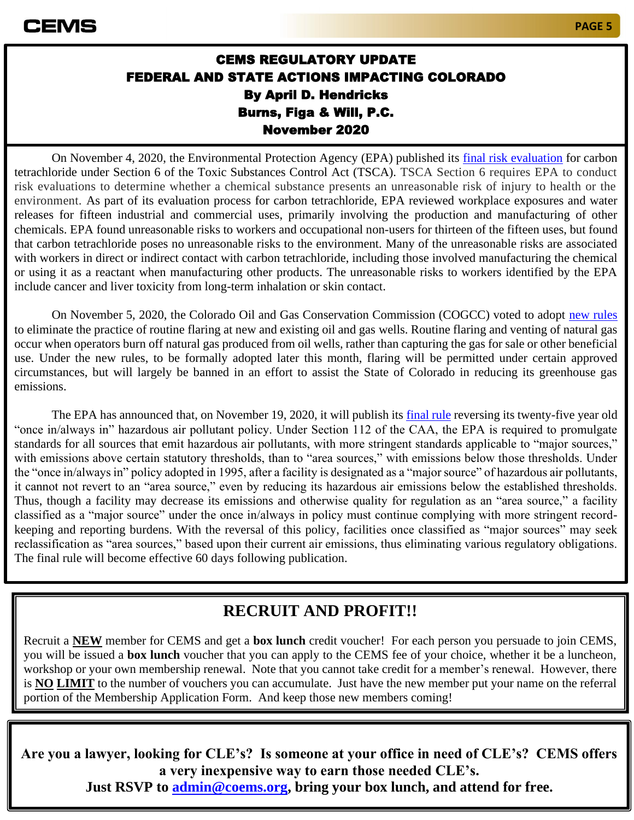### CEMS REGULATORY UPDATE FEDERAL AND STATE ACTIONS IMPACTING COLORADO By April D. Hendricks Burns, Figa & Will, P.C. November 2020

On November 4, 2020, the Environmental Protection Agency (EPA) published its [final risk evaluation](https://www.epa.gov/sites/production/files/2020-10/documents/1_ccl4_risk_evaluation_for_carbon_tetrachloride.pdf) for carbon tetrachloride under Section 6 of the Toxic Substances Control Act (TSCA). TSCA Section 6 requires EPA to conduct risk evaluations to determine whether a chemical substance presents an unreasonable risk of injury to health or the environment. As part of its evaluation process for carbon tetrachloride, EPA reviewed workplace exposures and water releases for fifteen industrial and commercial uses, primarily involving the production and manufacturing of other chemicals. EPA found unreasonable risks to workers and occupational non-users for thirteen of the fifteen uses, but found that carbon tetrachloride poses no unreasonable risks to the environment. Many of the unreasonable risks are associated with workers in direct or indirect contact with carbon tetrachloride, including those involved manufacturing the chemical or using it as a reactant when manufacturing other products. The unreasonable risks to workers identified by the EPA include cancer and liver toxicity from long-term inhalation or skin contact.

On November 5, 2020, the Colorado Oil and Gas Conservation Commission (COGCC) voted to adopt [new rules](https://coloradosun.com/2020/11/04/colorado-tough-new-flaring-rules-oil-and-gas/) to eliminate the practice of routine flaring at new and existing oil and gas wells. Routine flaring and venting of natural gas occur when operators burn off natural gas produced from oil wells, rather than capturing the gas for sale or other beneficial use. Under the new rules, to be formally adopted later this month, flaring will be permitted under certain approved circumstances, but will largely be banned in an effort to assist the State of Colorado in reducing its greenhouse gas emissions.

The EPA has announced that, on November 19, 2020, it will publish its [final rule](https://public-inspection.federalregister.gov/2020-22044.pdf) reversing its twenty-five year old "once in/always in" hazardous air pollutant policy. Under Section 112 of the CAA, the EPA is required to promulgate standards for all sources that emit hazardous air pollutants, with more stringent standards applicable to "major sources," with emissions above certain statutory thresholds, than to "area sources," with emissions below those thresholds. Under the "once in/always in" policy adopted in 1995, after a facility is designated as a "major source" of hazardous air pollutants, it cannot not revert to an "area source," even by reducing its hazardous air emissions below the established thresholds. Thus, though a facility may decrease its emissions and otherwise quality for regulation as an "area source," a facility classified as a "major source" under the once in/always in policy must continue complying with more stringent recordkeeping and reporting burdens. With the reversal of this policy, facilities once classified as "major sources" may seek reclassification as "area sources," based upon their current air emissions, thus eliminating various regulatory obligations. The final rule will become effective 60 days following publication.

## **RECRUIT AND PROFIT!!**

Recruit a **NEW** member for CEMS and get a **box lunch** credit voucher! For each person you persuade to join CEMS, you will be issued a **box lunch** voucher that you can apply to the CEMS fee of your choice, whether it be a luncheon, workshop or your own membership renewal. Note that you cannot take credit for a member's renewal. However, there is **NO LIMIT** to the number of vouchers you can accumulate. Just have the new member put your name on the referral portion of the Membership Application Form. And keep those new members coming!

**Are you a lawyer, looking for CLE's? Is someone at your office in need of CLE's? CEMS offers a very inexpensive way to earn those needed CLE's.** 

**Just RSVP to [admin@coems.org,](mailto:admin@coems.org) bring your box lunch, and attend for free.**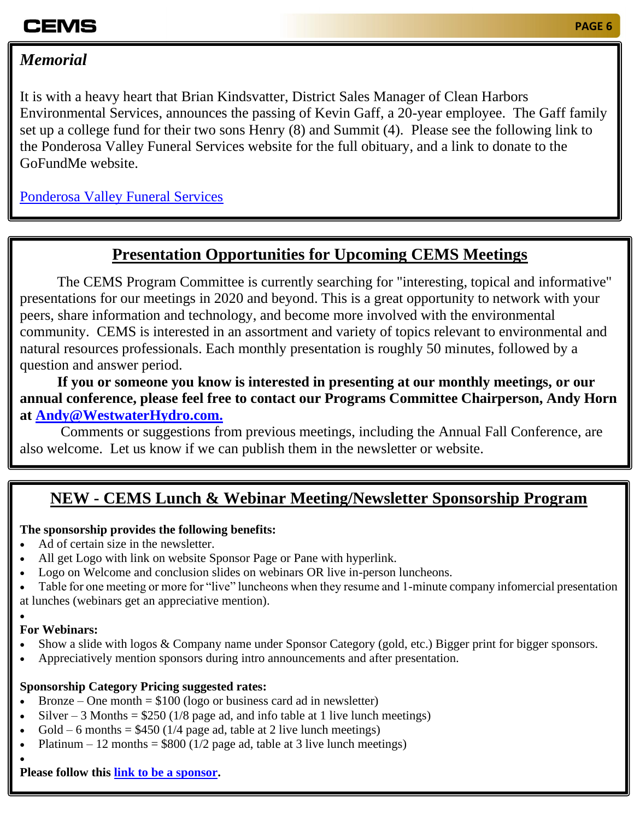# CEMS

### *Memorial*

It is with a heavy heart that Brian Kindsvatter, District Sales Manager of Clean Harbors Environmental Services, announces the passing of Kevin Gaff, a 20-year employee. The Gaff family set up a college fund for their two sons Henry (8) and Summit (4). Please see the following link to the Ponderosa Valley Funeral Services website for the full obituary, and a link to donate to the GoFundMe website.

[Ponderosa Valley Funeral Services](https://ponderosavalleyfunerals.com/tribute/details/196913/Kevin-Gaff/obituary.html#tribute-start)

### **Presentation Opportunities for Upcoming CEMS Meetings**

The CEMS Program Committee is currently searching for "interesting, topical and informative" presentations for our meetings in 2020 and beyond. This is a great opportunity to network with your peers, share information and technology, and become more involved with the environmental community. CEMS is interested in an assortment and variety of topics relevant to environmental and natural resources professionals. Each monthly presentation is roughly 50 minutes, followed by a question and answer period.

**If you or someone you know is interested in presenting at our monthly meetings, or our annual conference, please feel free to contact our Programs Committee Chairperson, Andy Horn at Andy@WestwaterHydro.com.**

Comments or suggestions from previous meetings, including the Annual Fall Conference, are also welcome. Let us know if we can publish them in the newsletter or website.

## **NEW - CEMS Lunch & Webinar Meeting/Newsletter Sponsorship Program**

#### **The sponsorship provides the following benefits:**

- Ad of certain size in the newsletter.
- All get Logo with link on website Sponsor Page or Pane with hyperlink.
- Logo on Welcome and conclusion slides on webinars OR live in-person luncheons.
- Table for one meeting or more for "live" luncheons when they resume and 1-minute company infomercial presentation at lunches (webinars get an appreciative mention).

#### • **For Webinars:**

•

- Show a slide with logos & Company name under Sponsor Category (gold, etc.) Bigger print for bigger sponsors.
- Appreciatively mention sponsors during intro announcements and after presentation.

#### **Sponsorship Category Pricing suggested rates:**

- Bronze One month  $= $100$  (logo or business card ad in newsletter)
- Silver 3 Months =  $$250 (1/8)$  page ad, and info table at 1 live lunch meetings)
- Gold 6 months =  $$450$  (1/4 page ad, table at 2 live lunch meetings)
- Platinum 12 months =  $$800 (1/2)$  page ad, table at 3 live lunch meetings)

**Please follow this [link to be a sponsor.](https://coems.org/cems-lunch-webinar-meeting-newsletter-sponsorship-program/)**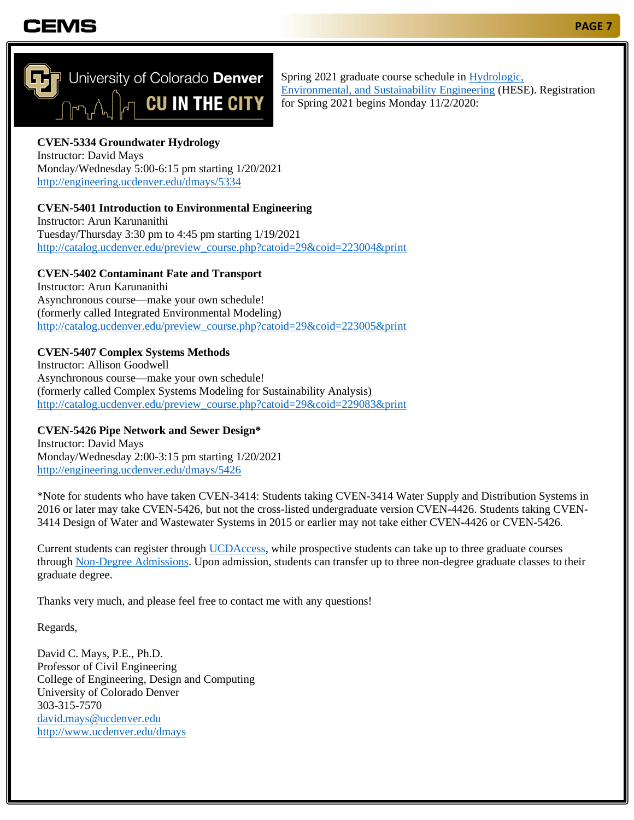## CEMS



Spring 2021 graduate course schedule in [Hydrologic,](https://engineering.ucdenver.edu/HESE)  [Environmental, and Sustainability Engineering](https://engineering.ucdenver.edu/HESE) (HESE). Registration for Spring 2021 begins Monday 11/2/2020:

### **CVEN-5334 Groundwater Hydrology**

Instructor: David Mays Monday/Wednesday 5:00-6:15 pm starting 1/20/2021 <http://engineering.ucdenver.edu/dmays/5334>

#### **CVEN-5401 Introduction to Environmental Engineering**

Instructor: Arun Karunanithi Tuesday/Thursday 3:30 pm to 4:45 pm starting 1/19/2021 [http://catalog.ucdenver.edu/preview\\_course.php?catoid=29&coid=223004&print](http://catalog.ucdenver.edu/preview_course.php?catoid=29&coid=223004&print)

#### **CVEN-5402 Contaminant Fate and Transport**

Instructor: Arun Karunanithi Asynchronous course—make your own schedule! (formerly called Integrated Environmental Modeling) [http://catalog.ucdenver.edu/preview\\_course.php?catoid=29&coid=223005&print](http://catalog.ucdenver.edu/preview_course.php?catoid=29&coid=223005&print)

#### **CVEN-5407 Complex Systems Methods**

Instructor: Allison Goodwell Asynchronous course—make your own schedule! (formerly called Complex Systems Modeling for Sustainability Analysis) [http://catalog.ucdenver.edu/preview\\_course.php?catoid=29&coid=229083&print](http://catalog.ucdenver.edu/preview_course.php?catoid=29&coid=229083&print)

#### **CVEN-5426 Pipe Network and Sewer Design\***

Instructor: David Mays Monday/Wednesday 2:00-3:15 pm starting 1/20/2021 <http://engineering.ucdenver.edu/dmays/5426>

\*Note for students who have taken CVEN-3414: Students taking CVEN-3414 Water Supply and Distribution Systems in 2016 or later may take CVEN-5426, but not the cross-listed undergraduate version CVEN-4426. Students taking CVEN-3414 Design of Water and Wastewater Systems in 2015 or earlier may not take either CVEN-4426 or CVEN-5426.

Current students can register through [UCDAccess,](https://passport.ucdenver.edu/login.php) while prospective students can take up to three graduate courses through [Non-Degree Admissions.](https://graduateschool.ucdenver.edu/admissions/non-degree-application-for-cu-denver) Upon admission, students can transfer up to three non-degree graduate classes to their graduate degree.

Thanks very much, and please feel free to contact me with any questions!

Regards,

David C. Mays, P.E., Ph.D. Professor of Civil Engineering College of Engineering, Design and Computing University of Colorado Denver 303-315-7570 [david.mays@ucdenver.edu](mailto:david.mays@ucdenver.edu) <http://www.ucdenver.edu/dmays>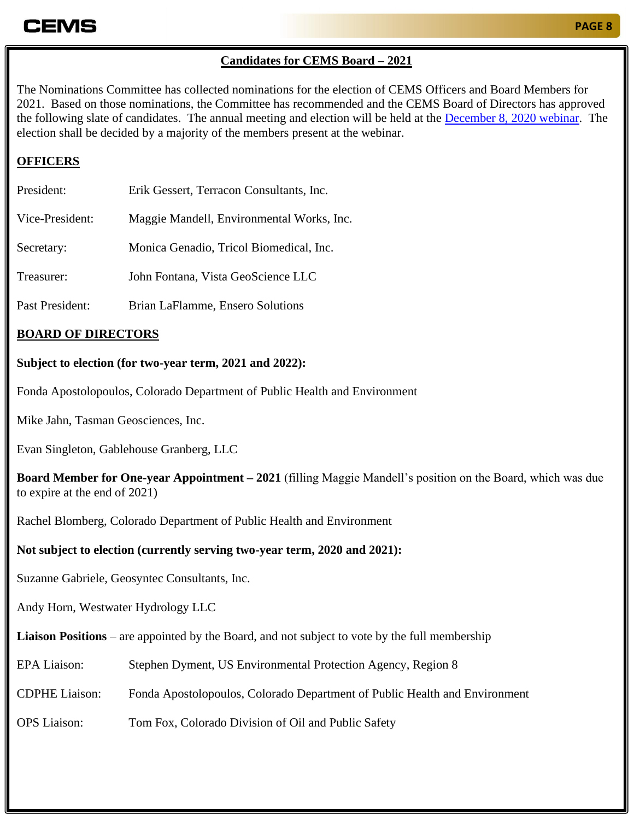### **PAGE 8**

### **Candidates for CEMS Board – 2021**

The Nominations Committee has collected nominations for the election of CEMS Officers and Board Members for 2021. Based on those nominations, the Committee has recommended and the CEMS Board of Directors has approved the following slate of candidates. The annual meeting and election will be held at the [December 8, 2020 webinar.](https://coems.org/events/cems-luncheon-december-8/) The election shall be decided by a majority of the members present at the webinar.

### **OFFICERS**

| President:      | Erik Gessert, Terracon Consultants, Inc.  |
|-----------------|-------------------------------------------|
| Vice-President: | Maggie Mandell, Environmental Works, Inc. |
| Secretary:      | Monica Genadio, Tricol Biomedical, Inc.   |
| Treasurer:      | John Fontana, Vista GeoScience LLC        |
| Past President: | Brian LaFlamme, Ensero Solutions          |

### **BOARD OF DIRECTORS**

#### **Subject to election (for two-year term, 2021 and 2022):**

Fonda Apostolopoulos, Colorado Department of Public Health and Environment

Mike Jahn, Tasman Geosciences, Inc.

Evan Singleton, Gablehouse Granberg, LLC

**Board Member for One-year Appointment – 2021** (filling Maggie Mandell's position on the Board, which was due to expire at the end of 2021)

Rachel Blomberg, Colorado Department of Public Health and Environment

#### **Not subject to election (currently serving two-year term, 2020 and 2021):**

Suzanne Gabriele, Geosyntec Consultants, Inc.

Andy Horn, Westwater Hydrology LLC

**Liaison Positions** – are appointed by the Board, and not subject to vote by the full membership

- EPA Liaison: Stephen Dyment, US Environmental Protection Agency, Region 8
- CDPHE Liaison: Fonda Apostolopoulos, Colorado Department of Public Health and Environment

OPS Liaison: Tom Fox, Colorado Division of Oil and Public Safety